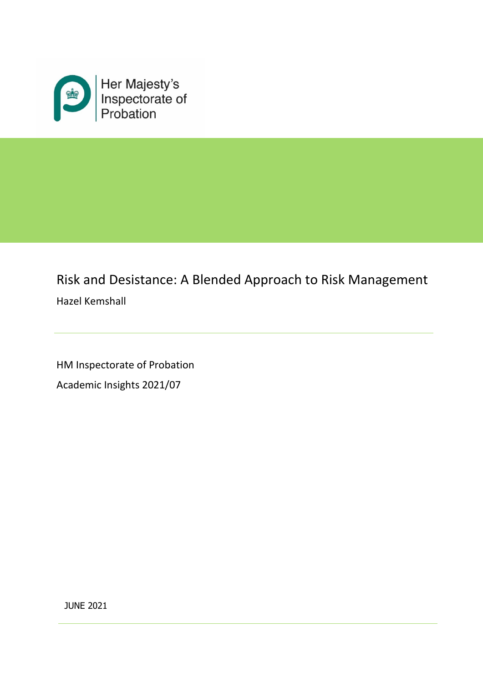

# Risk and Desistance: A Blended Approach to Risk Management Hazel Kemshall

HM Inspectorate of Probation Academic Insights 2021/07

JUNE 2021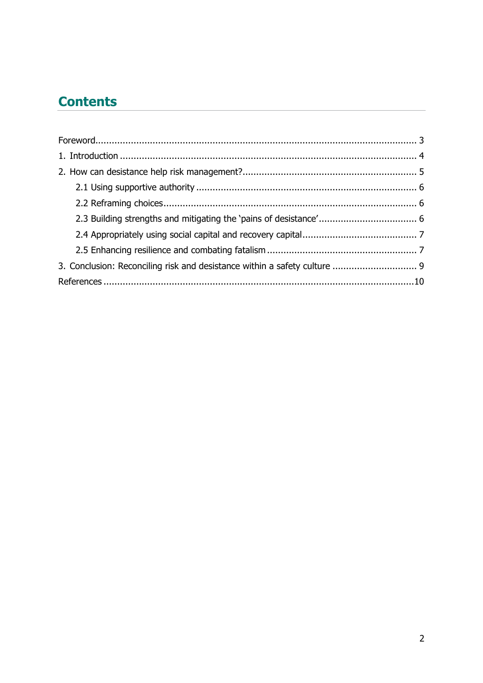## **Contents**

| 3. Conclusion: Reconciling risk and desistance within a safety culture  9 |  |
|---------------------------------------------------------------------------|--|
|                                                                           |  |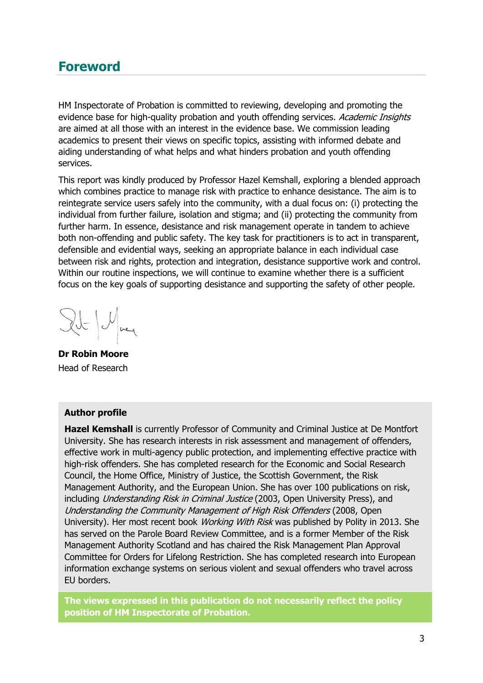## <span id="page-2-0"></span>**Foreword**

HM Inspectorate of Probation is committed to reviewing, developing and promoting the evidence base for high-quality probation and youth offending services. Academic Insights are aimed at all those with an interest in the evidence base. We commission leading academics to present their views on specific topics, assisting with informed debate and aiding understanding of what helps and what hinders probation and youth offending services.

This report was kindly produced by Professor Hazel Kemshall, exploring a blended approach which combines practice to manage risk with practice to enhance desistance. The aim is to reintegrate service users safely into the community, with a dual focus on: (i) protecting the individual from further failure, isolation and stigma; and (ii) protecting the community from further harm. In essence, desistance and risk management operate in tandem to achieve both non-offending and public safety. The key task for practitioners is to act in transparent, defensible and evidential ways, seeking an appropriate balance in each individual case between risk and rights, protection and integration, desistance supportive work and control. Within our routine inspections, we will continue to examine whether there is a sufficient focus on the key goals of supporting desistance and supporting the safety of other people.

Ilt May

**Dr Robin Moore** Head of Research

#### **Author profile**

**Hazel Kemshall** is currently Professor of Community and Criminal Justice at De Montfort University. She has research interests in risk assessment and management of offenders, effective work in multi-agency public protection, and implementing effective practice with high-risk offenders. She has completed research for the Economic and Social Research Council, the Home Office, Ministry of Justice, the Scottish Government, the Risk Management Authority, and the European Union. She has over 100 publications on risk, including Understanding Risk in Criminal Justice (2003, Open University Press), and Understanding the Community Management of High Risk Offenders (2008, Open University). Her most recent book Working With Risk was published by Polity in 2013. She has served on the Parole Board Review Committee, and is a former Member of the Risk Management Authority Scotland and has chaired the Risk Management Plan Approval Committee for Orders for Lifelong Restriction. She has completed research into European information exchange systems on serious violent and sexual offenders who travel across EU borders.

**The views expressed in this publication do not necessarily reflect the policy position of HM Inspectorate of Probation.**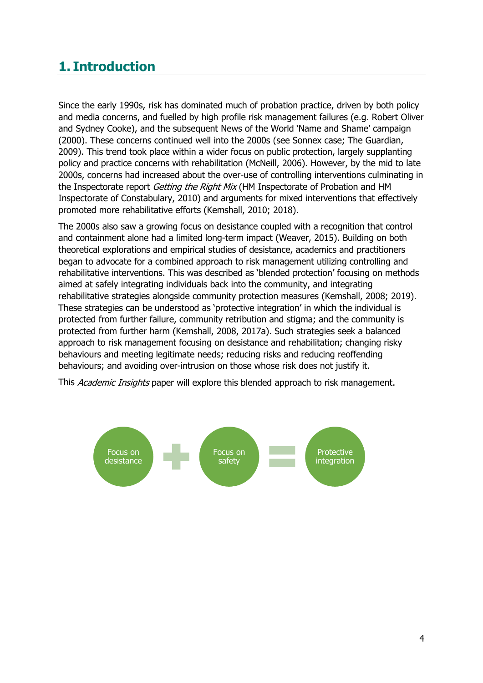## <span id="page-3-0"></span>**1. Introduction**

Since the early 1990s, risk has dominated much of probation practice, driven by both policy and media concerns, and fuelled by high profile risk management failures (e.g. Robert Oliver and Sydney Cooke), and the subsequent News of the World 'Name and Shame' campaign (2000). These concerns continued well into the 2000s (see Sonnex case; The Guardian, 2009). This trend took place within a wider focus on public protection, largely supplanting policy and practice concerns with rehabilitation (McNeill, 2006). However, by the mid to late 2000s, concerns had increased about the over-use of controlling interventions culminating in the Inspectorate report Getting the Right Mix (HM Inspectorate of Probation and HM Inspectorate of Constabulary, 2010) and arguments for mixed interventions that effectively promoted more rehabilitative efforts (Kemshall, 2010; 2018).

The 2000s also saw a growing focus on desistance coupled with a recognition that control and containment alone had a limited long-term impact (Weaver, 2015). Building on both theoretical explorations and empirical studies of desistance, academics and practitioners began to advocate for a combined approach to risk management utilizing controlling and rehabilitative interventions. This was described as 'blended protection' focusing on methods aimed at safely integrating individuals back into the community, and integrating rehabilitative strategies alongside community protection measures (Kemshall, 2008; 2019). These strategies can be understood as 'protective integration' in which the individual is protected from further failure, community retribution and stigma; and the community is protected from further harm (Kemshall, 2008, 2017a). Such strategies seek a balanced approach to risk management focusing on desistance and rehabilitation; changing risky behaviours and meeting legitimate needs; reducing risks and reducing reoffending behaviours; and avoiding over-intrusion on those whose risk does not justify it.

This Academic Insights paper will explore this blended approach to risk management.

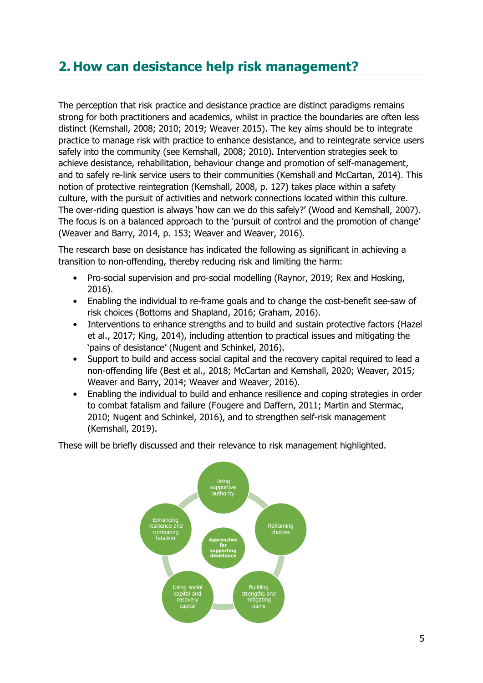## <span id="page-4-0"></span>**2. How can desistance help risk management?**

The perception that risk practice and desistance practice are distinct paradigms remains strong for both practitioners and academics, whilst in practice the boundaries are often less distinct (Kemshall, 2008; 2010; 2019; Weaver 2015). The key aims should be to integrate practice to manage risk with practice to enhance desistance, and to reintegrate service users safely into the community (see Kemshall, 2008; 2010). Intervention strategies seek to achieve desistance, rehabilitation, behaviour change and promotion of self-management, and to safely re-link service users to their communities (Kemshall and McCartan, 2014). This notion of protective reintegration (Kemshall, 2008, p. 127) takes place within a safety culture, with the pursuit of activities and network connections located within this culture. The over-riding question is always 'how can we do this safely?' (Wood and Kemshall, 2007). The focus is on a balanced approach to the 'pursuit of control and the promotion of change' (Weaver and Barry, 2014, p. 153; Weaver and Weaver, 2016).

The research base on desistance has indicated the following as significant in achieving a transition to non-offending, thereby reducing risk and limiting the harm:

- Pro-social supervision and pro-social modelling (Raynor, 2019; Rex and Hosking, 2016).
- Enabling the individual to re-frame goals and to change the cost-benefit see-saw of risk choices (Bottoms and Shapland, 2016; Graham, 2016).
- Interventions to enhance strengths and to build and sustain protective factors (Hazel et al., 2017; King, 2014), including attention to practical issues and mitigating the 'pains of desistance' (Nugent and Schinkel, 2016).
- Support to build and access social capital and the recovery capital required to lead a non-offending life (Best et al., 2018; McCartan and Kemshall, 2020; Weaver, 2015; Weaver and Barry, 2014; Weaver and Weaver, 2016).
- Enabling the individual to build and enhance resilience and coping strategies in order to combat fatalism and failure (Fougere and Daffern, 2011; Martin and Stermac, 2010; Nugent and Schinkel, 2016), and to strengthen self-risk management (Kemshall, 2019).

These will be briefly discussed and their relevance to risk management highlighted.

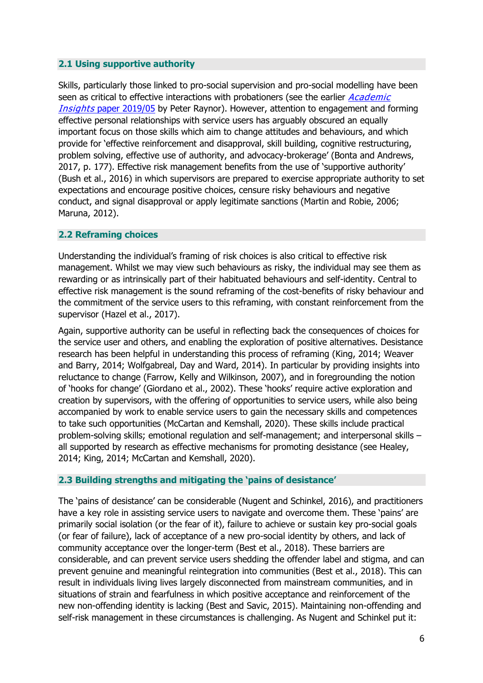#### <span id="page-5-0"></span>**2.1 Using supportive authority**

Skills, particularly those linked to pro-social supervision and pro-social modelling have been seen as critical to effective interactions with probationers (see the earlier *Academic* **Insights [paper 2019/05](https://www.justiceinspectorates.gov.uk/hmiprobation/wp-content/uploads/sites/5/2019/08/Academic-Insights-Raynor.pdf)** by Peter Raynor). However, attention to engagement and forming effective personal relationships with service users has arguably obscured an equally important focus on those skills which aim to change attitudes and behaviours, and which provide for 'effective reinforcement and disapproval, skill building, cognitive restructuring, problem solving, effective use of authority, and advocacy-brokerage' (Bonta and Andrews, 2017, p. 177). Effective risk management benefits from the use of 'supportive authority' (Bush et al., 2016) in which supervisors are prepared to exercise appropriate authority to set expectations and encourage positive choices, censure risky behaviours and negative conduct, and signal disapproval or apply legitimate sanctions (Martin and Robie, 2006; Maruna, 2012).

#### <span id="page-5-1"></span>**2.2 Reframing choices**

Understanding the individual's framing of risk choices is also critical to effective risk management. Whilst we may view such behaviours as risky, the individual may see them as rewarding or as intrinsically part of their habituated behaviours and self-identity. Central to effective risk management is the sound reframing of the cost-benefits of risky behaviour and the commitment of the service users to this reframing, with constant reinforcement from the supervisor (Hazel et al., 2017).

Again, supportive authority can be useful in reflecting back the consequences of choices for the service user and others, and enabling the exploration of positive alternatives. Desistance research has been helpful in understanding this process of reframing (King, 2014; Weaver and Barry, 2014; Wolfgabreal, Day and Ward, 2014). In particular by providing insights into reluctance to change (Farrow, Kelly and Wilkinson, 2007), and in foregrounding the notion of 'hooks for change' (Giordano et al., 2002). These 'hooks' require active exploration and creation by supervisors, with the offering of opportunities to service users, while also being accompanied by work to enable service users to gain the necessary skills and competences to take such opportunities (McCartan and Kemshall, 2020). These skills include practical problem-solving skills; emotional regulation and self-management; and interpersonal skills – all supported by research as effective mechanisms for promoting desistance (see Healey, 2014; King, 2014; McCartan and Kemshall, 2020).

#### <span id="page-5-2"></span>**2.3 Building strengths and mitigating the 'pains of desistance'**

The 'pains of desistance' can be considerable (Nugent and Schinkel, 2016), and practitioners have a key role in assisting service users to navigate and overcome them. These 'pains' are primarily social isolation (or the fear of it), failure to achieve or sustain key pro-social goals (or fear of failure), lack of acceptance of a new pro-social identity by others, and lack of community acceptance over the longer-term (Best et al., 2018). These barriers are considerable, and can prevent service users shedding the offender label and stigma, and can prevent genuine and meaningful reintegration into communities (Best et al., 2018). This can result in individuals living lives largely disconnected from mainstream communities, and in situations of strain and fearfulness in which positive acceptance and reinforcement of the new non-offending identity is lacking (Best and Savic, 2015). Maintaining non-offending and self-risk management in these circumstances is challenging. As Nugent and Schinkel put it: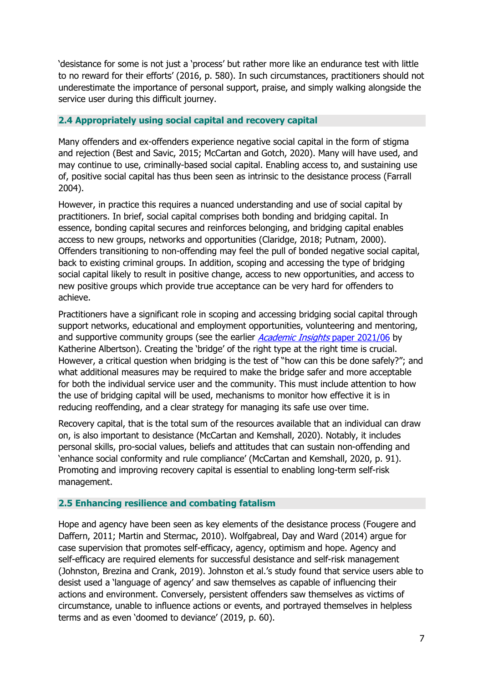'desistance for some is not just a 'process' but rather more like an endurance test with little to no reward for their efforts' (2016, p. 580). In such circumstances, practitioners should not underestimate the importance of personal support, praise, and simply walking alongside the service user during this difficult journey.

#### <span id="page-6-0"></span>**2.4 Appropriately using social capital and recovery capital**

Many offenders and ex-offenders experience negative social capital in the form of stigma and rejection (Best and Savic, 2015; McCartan and Gotch, 2020). Many will have used, and may continue to use, criminally-based social capital. Enabling access to, and sustaining use of, positive social capital has thus been seen as intrinsic to the desistance process (Farrall 2004).

However, in practice this requires a nuanced understanding and use of social capital by practitioners. In brief, social capital comprises both bonding and bridging capital. In essence, bonding capital secures and reinforces belonging, and bridging capital enables access to new groups, networks and opportunities (Claridge, 2018; Putnam, 2000). Offenders transitioning to non-offending may feel the pull of bonded negative social capital, back to existing criminal groups. In addition, scoping and accessing the type of bridging social capital likely to result in positive change, access to new opportunities, and access to new positive groups which provide true acceptance can be very hard for offenders to achieve.

Practitioners have a significant role in scoping and accessing bridging social capital through support networks, educational and employment opportunities, volunteering and mentoring, and supportive community groups (see the earlier *[Academic Insights](https://www.justiceinspectorates.gov.uk/hmiprobation/wp-content/uploads/sites/5/2021/06/Academic-Insights-Albertson-KM-design2-RM.pdf)* paper 2021/06 by Katherine Albertson). Creating the 'bridge' of the right type at the right time is crucial. However, a critical question when bridging is the test of "how can this be done safely?"; and what additional measures may be required to make the bridge safer and more acceptable for both the individual service user and the community. This must include attention to how the use of bridging capital will be used, mechanisms to monitor how effective it is in reducing reoffending, and a clear strategy for managing its safe use over time.

Recovery capital, that is the total sum of the resources available that an individual can draw on, is also important to desistance (McCartan and Kemshall, 2020). Notably, it includes personal skills, pro-social values, beliefs and attitudes that can sustain non-offending and 'enhance social conformity and rule compliance' (McCartan and Kemshall, 2020, p. 91). Promoting and improving recovery capital is essential to enabling long-term self-risk management.

#### <span id="page-6-1"></span>**2.5 Enhancing resilience and combating fatalism**

Hope and agency have been seen as key elements of the desistance process (Fougere and Daffern, 2011; Martin and Stermac, 2010). Wolfgabreal, Day and Ward (2014) argue for case supervision that promotes self-efficacy, agency, optimism and hope. Agency and self-efficacy are required elements for successful desistance and self-risk management (Johnston, Brezina and Crank, 2019). Johnston et al.'s study found that service users able to desist used a 'language of agency' and saw themselves as capable of influencing their actions and environment. Conversely, persistent offenders saw themselves as victims of circumstance, unable to influence actions or events, and portrayed themselves in helpless terms and as even 'doomed to deviance' (2019, p. 60).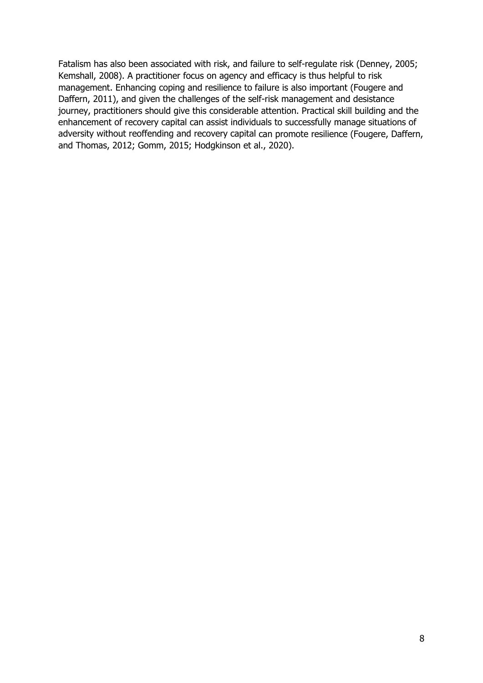<span id="page-7-0"></span>Fatalism has also been associated with risk, and failure to self-regulate risk (Denney, 2005; Kemshall, 2008). A practitioner focus on agency and efficacy is thus helpful to risk management. Enhancing coping and resilience to failure is also important (Fougere and Daffern, 2011), and given the challenges of the self-risk management and desistance journey, practitioners should give this considerable attention. Practical skill building and the enhancement of recovery capital can assist individuals to successfully manage situations of adversity without reoffending and recovery capital can promote resilience (Fougere, Daffern, and Thomas, 2012; Gomm, 2015; Hodgkinson et al., 2020).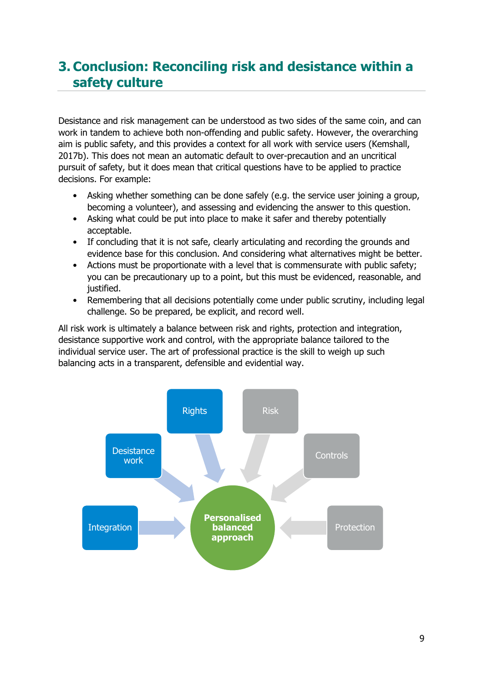## **3. Conclusion: Reconciling risk and desistance within a safety culture**

Desistance and risk management can be understood as two sides of the same coin, and can work in tandem to achieve both non-offending and public safety. However, the overarching aim is public safety, and this provides a context for all work with service users (Kemshall, 2017b). This does not mean an automatic default to over-precaution and an uncritical pursuit of safety, but it does mean that critical questions have to be applied to practice decisions. For example:

- Asking whether something can be done safely (e.g. the service user joining a group, becoming a volunteer), and assessing and evidencing the answer to this question.
- Asking what could be put into place to make it safer and thereby potentially acceptable.
- If concluding that it is not safe, clearly articulating and recording the grounds and evidence base for this conclusion. And considering what alternatives might be better.
- Actions must be proportionate with a level that is commensurate with public safety; you can be precautionary up to a point, but this must be evidenced, reasonable, and justified.
- Remembering that all decisions potentially come under public scrutiny, including legal challenge. So be prepared, be explicit, and record well.

All risk work is ultimately a balance between risk and rights, protection and integration, desistance supportive work and control, with the appropriate balance tailored to the individual service user. The art of professional practice is the skill to weigh up such balancing acts in a transparent, defensible and evidential way.

<span id="page-8-0"></span>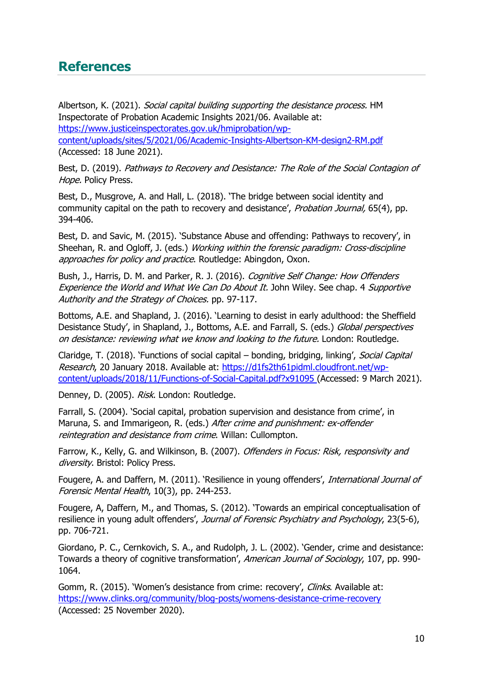### **References**

Albertson, K. (2021). Social capital building supporting the desistance process. HM Inspectorate of Probation Academic Insights 2021/06. Available at: [https://www.justiceinspectorates.gov.uk/hmiprobation/wp](https://www.justiceinspectorates.gov.uk/hmiprobation/wp-content/uploads/sites/5/2021/06/Academic-Insights-Albertson-KM-design2-RM.pdf)[content/uploads/sites/5/2021/06/Academic-Insights-Albertson-KM-design2-RM.pdf](https://www.justiceinspectorates.gov.uk/hmiprobation/wp-content/uploads/sites/5/2021/06/Academic-Insights-Albertson-KM-design2-RM.pdf) (Accessed: 18 June 2021).

Best, D. (2019). Pathways to Recovery and Desistance: The Role of the Social Contagion of Hope. Policy Press.

Best, D., Musgrove, A. and Hall, L. (2018). 'The bridge between social identity and community capital on the path to recovery and desistance', *Probation Journal*, 65(4), pp. 394-406.

Best, D. and Savic, M. (2015). 'Substance Abuse and offending: Pathways to recovery', in Sheehan, R. and Ogloff, J. (eds.) Working within the forensic paradigm: Cross-discipline approaches for policy and practice. Routledge: Abingdon, Oxon.

Bush, J., Harris, D. M. and Parker, R. J. (2016). Cognitive Self Change: How Offenders Experience the World and What We Can Do About It. John Wiley. See chap. 4 Supportive Authority and the Strategy of Choices. pp. 97-117.

Bottoms, A.E. and Shapland, J. (2016). 'Learning to desist in early adulthood: the Sheffield Desistance Study', in Shapland, J., Bottoms, A.E. and Farrall, S. (eds.) Global perspectives on desistance: reviewing what we know and looking to the future. London: Routledge.

Claridge, T. (2018). 'Functions of social capital – bonding, bridging, linking', Social Capital Research, 20 January 2018. Available at: [https://d1fs2th61pidml.cloudfront.net/wp](https://d1fs2th61pidml.cloudfront.net/wp-content/uploads/2018/11/Functions-of-Social-Capital.pdf?x91095)[content/uploads/2018/11/Functions-of-Social-Capital.pdf?x91095](https://d1fs2th61pidml.cloudfront.net/wp-content/uploads/2018/11/Functions-of-Social-Capital.pdf?x91095) (Accessed: 9 March 2021).

Denney, D. (2005). Risk. London: Routledge.

Farrall, S. (2004). 'Social capital, probation supervision and desistance from crime', in Maruna, S. and Immarigeon, R. (eds.) After crime and punishment: ex-offender reintegration and desistance from crime. Willan: Cullompton.

Farrow, K., Kelly, G. and Wilkinson, B. (2007). Offenders in Focus: Risk, responsivity and diversity. Bristol: Policy Press.

Fougere, A. and Daffern, M. (2011). 'Resilience in young offenders', International Journal of Forensic Mental Health, 10(3), pp. 244-253.

Fougere, A, Daffern, M., and Thomas, S. (2012). 'Towards an empirical conceptualisation of resilience in young adult offenders', Journal of Forensic Psychiatry and Psychology, 23(5-6), pp. 706-721.

Giordano, P. C., Cernkovich, S. A., and Rudolph, J. L. (2002). 'Gender, crime and desistance: Towards a theory of cognitive transformation', American Journal of Sociology, 107, pp. 990-1064.

Gomm, R. (2015). 'Women's desistance from crime: recovery', Clinks. Available at: <https://www.clinks.org/community/blog-posts/womens-desistance-crime-recovery> (Accessed: 25 November 2020).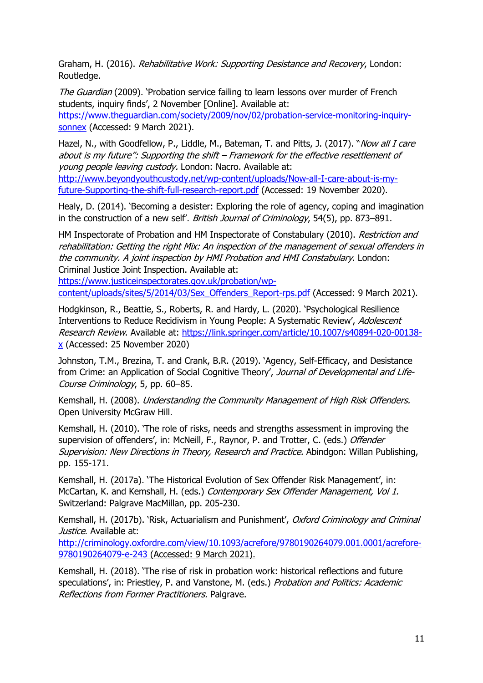Graham, H. (2016). Rehabilitative Work: Supporting Desistance and Recovery, London: Routledge.

The Guardian (2009). 'Probation service failing to learn lessons over murder of French students, inquiry finds', 2 November [Online]. Available at:

[https://www.theguardian.com/society/2009/nov/02/probation-service-monitoring-inquiry](https://www.theguardian.com/society/2009/nov/02/probation-service-monitoring-inquiry-sonnex)[sonnex](https://www.theguardian.com/society/2009/nov/02/probation-service-monitoring-inquiry-sonnex) (Accessed: 9 March 2021).

Hazel, N., with Goodfellow, P., Liddle, M., Bateman, T. and Pitts, J. (2017). "Now all I care about is my future": Supporting the shift – Framework for the effective resettlement of young people leaving custody. London: Nacro. Available at:

[http://www.beyondyouthcustody.net/wp-content/uploads/Now-all-I-care-about-is-my](http://www.beyondyouthcustody.net/wp-content/uploads/Now-all-I-care-about-is-my-future-Supporting-the-shift-full-research-report.pdf)[future-Supporting-the-shift-full-research-report.pdf](http://www.beyondyouthcustody.net/wp-content/uploads/Now-all-I-care-about-is-my-future-Supporting-the-shift-full-research-report.pdf) (Accessed: 19 November 2020).

Healy, D. (2014). 'Becoming a desister: Exploring the role of agency, coping and imagination in the construction of a new self'. British Journal of Criminology, 54(5), pp. 873–891.

HM Inspectorate of Probation and HM Inspectorate of Constabulary (2010). Restriction and rehabilitation: Getting the right Mix: An inspection of the management of sexual offenders in the community. A joint inspection by HMI Probation and HMI Constabulary. London: Criminal Justice Joint Inspection. Available at:

[https://www.justiceinspectorates.gov.uk/probation/wp](https://www.justiceinspectorates.gov.uk/probation/wp-content/uploads/sites/5/2014/03/Sex_Offenders_Report-rps.pdf)[content/uploads/sites/5/2014/03/Sex\\_Offenders\\_Report-rps.pdf](https://www.justiceinspectorates.gov.uk/probation/wp-content/uploads/sites/5/2014/03/Sex_Offenders_Report-rps.pdf) (Accessed: 9 March 2021).

Hodgkinson, R., Beattie, S., Roberts, R. and Hardy, L. (2020). 'Psychological Resilience Interventions to Reduce Recidivism in Young People: A Systematic Review', Adolescent Research Review. Available at: [https://link.springer.com/article/10.1007/s40894-020-00138](https://link.springer.com/article/10.1007/s40894-020-00138-x) [x](https://link.springer.com/article/10.1007/s40894-020-00138-x) (Accessed: 25 November 2020)

Johnston, T.M., Brezina, T. and Crank, B.R. (2019). 'Agency, Self-Efficacy, and Desistance from Crime: an Application of Social Cognitive Theory', Journal of Developmental and Life-Course Criminology, 5, pp. 60–85.

Kemshall, H. (2008). Understanding the Community Management of High Risk Offenders. Open University McGraw Hill.

Kemshall, H. (2010). 'The role of risks, needs and strengths assessment in improving the supervision of offenders', in: McNeill, F., Raynor, P. and Trotter, C. (eds.) Offender Supervision: New Directions in Theory, Research and Practice. Abindgon: Willan Publishing, pp. 155-171.

Kemshall, H. (2017a). 'The Historical Evolution of Sex Offender Risk Management', in: McCartan, K. and Kemshall, H. (eds.) Contemporary Sex Offender Management, Vol 1. Switzerland: Palgrave MacMillan, pp. 205-230.

Kemshall, H. (2017b). 'Risk, Actuarialism and Punishment', Oxford Criminology and Criminal Justice. Available at:

[http://criminology.oxfordre.com/view/10.1093/acrefore/9780190264079.001.0001/acrefore-](http://criminology.oxfordre.com/view/10.1093/acrefore/9780190264079.001.0001/acrefore-9780190264079-e-243)[9780190264079-e-243](http://criminology.oxfordre.com/view/10.1093/acrefore/9780190264079.001.0001/acrefore-9780190264079-e-243) (Accessed: 9 March 2021).

Kemshall, H. (2018). 'The rise of risk in probation work: historical reflections and future speculations', in: Priestley, P. and Vanstone, M. (eds.) Probation and Politics: Academic Reflections from Former Practitioners. Palgrave.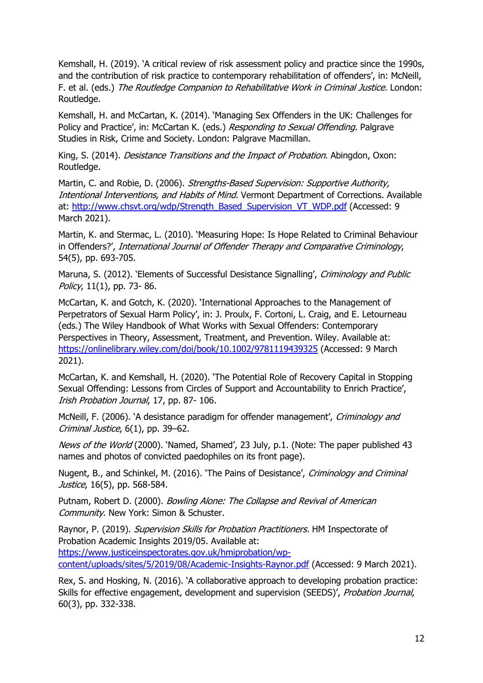Kemshall, H. (2019). 'A critical review of risk assessment policy and practice since the 1990s, and the contribution of risk practice to contemporary rehabilitation of offenders', in: McNeill, F. et al. (eds.) The Routledge Companion to Rehabilitative Work in Criminal Justice. London: Routledge.

Kemshall, H. and McCartan, K. (2014). 'Managing Sex Offenders in the UK: Challenges for Policy and Practice', in: McCartan K. (eds.) Responding to Sexual Offending, Palgrave Studies in Risk, Crime and Society. London: Palgrave Macmillan.

King, S. (2014). *Desistance Transitions and the Impact of Probation*. Abingdon, Oxon: Routledge.

Martin, C. and Robie, D. (2006). Strengths-Based Supervision: Supportive Authority, Intentional Interventions, and Habits of Mind. Vermont Department of Corrections. Available at: [http://www.chsvt.org/wdp/Strength\\_Based\\_Supervision\\_VT\\_WDP.pdf](http://www.chsvt.org/wdp/Strength_Based_Supervision_VT_WDP.pdf) (Accessed: 9 March 2021).

Martin, K. and Stermac, L. (2010). 'Measuring Hope: Is Hope Related to Criminal Behaviour in Offenders?', International Journal of Offender Therapy and Comparative Criminology, 54(5), pp. 693-705.

Maruna, S. (2012). 'Elements of Successful Desistance Signalling', Criminology and Public Policy, 11(1), pp. 73- 86.

McCartan, K. and Gotch, K. (2020). 'International Approaches to the Management of Perpetrators of Sexual Harm Policy', in: J. Proulx, F. Cortoni, L. Craig, and E. Letourneau (eds.) The Wiley Handbook of What Works with Sexual Offenders: Contemporary Perspectives in Theory, Assessment, Treatment, and Prevention. Wiley. Available at: <https://onlinelibrary.wiley.com/doi/book/10.1002/9781119439325> (Accessed: 9 March 2021).

McCartan, K. and Kemshall, H. (2020). 'The Potential Role of Recovery Capital in Stopping Sexual Offending: Lessons from Circles of Support and Accountability to Enrich Practice', Irish Probation Journal, 17, pp. 87- 106.

McNeill, F. (2006). 'A desistance paradigm for offender management', Criminology and Criminal Justice,  $6(1)$ , pp. 39–62.

News of the World (2000). 'Named, Shamed', 23 July, p.1. (Note: The paper published 43 names and photos of convicted paedophiles on its front page).

Nugent, B., and Schinkel, M. (2016). 'The Pains of Desistance', Criminology and Criminal Justice, 16(5), pp. 568-584.

Putnam, Robert D. (2000). Bowling Alone: The Collapse and Revival of American Community. New York: Simon & Schuster.

Raynor, P. (2019). Supervision Skills for Probation Practitioners. HM Inspectorate of Probation Academic Insights 2019/05. Available at: [https://www.justiceinspectorates.gov.uk/hmiprobation/wp](https://www.justiceinspectorates.gov.uk/hmiprobation/wp-content/uploads/sites/5/2019/08/Academic-Insights-Raynor.pdf)[content/uploads/sites/5/2019/08/Academic-Insights-Raynor.pdf](https://www.justiceinspectorates.gov.uk/hmiprobation/wp-content/uploads/sites/5/2019/08/Academic-Insights-Raynor.pdf) (Accessed: 9 March 2021).

Rex, S. and Hosking, N. (2016). 'A collaborative approach to developing probation practice: Skills for effective engagement, development and supervision (SEEDS)', Probation Journal, 60(3), pp. 332-338.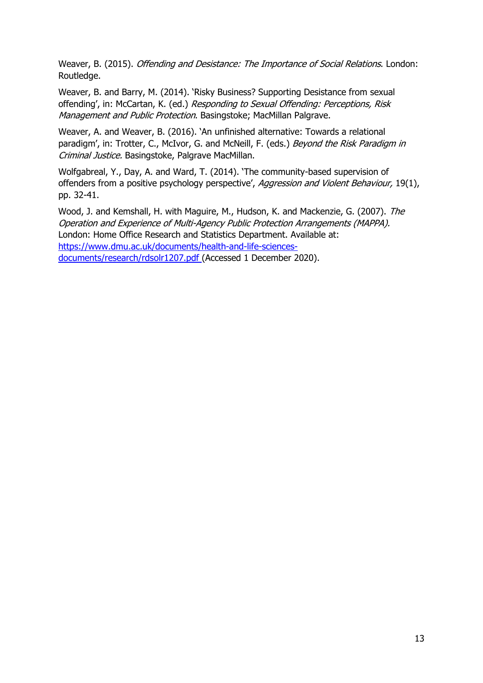Weaver, B. (2015). Offending and Desistance: The Importance of Social Relations. London: Routledge.

Weaver, B. and Barry, M. (2014). 'Risky Business? Supporting Desistance from sexual offending', in: McCartan, K. (ed.) Responding to Sexual Offending: Perceptions, Risk Management and Public Protection. Basingstoke; MacMillan Palgrave.

Weaver, A. and Weaver, B. (2016). 'An unfinished alternative: Towards a relational paradigm', in: Trotter, C., McIvor, G. and McNeill, F. (eds.) Beyond the Risk Paradigm in Criminal Justice. Basingstoke, Palgrave MacMillan.

Wolfgabreal, Y., Day, A. and Ward, T. (2014). 'The community-based supervision of offenders from a positive psychology perspective', Aggression and Violent Behaviour, 19(1), pp. 32-41.

Wood, J. and Kemshall, H. with Maguire, M., Hudson, K. and Mackenzie, G. (2007). The Operation and Experience of Multi-Agency Public Protection Arrangements (MAPPA). London: Home Office Research and Statistics Department. Available at: [https://www.dmu.ac.uk/documents/health-and-life-sciences](https://www.dmu.ac.uk/documents/health-and-life-sciences-documents/research/rdsolr1207.pdf)[documents/research/rdsolr1207.pdf](https://www.dmu.ac.uk/documents/health-and-life-sciences-documents/research/rdsolr1207.pdf) (Accessed 1 December 2020).